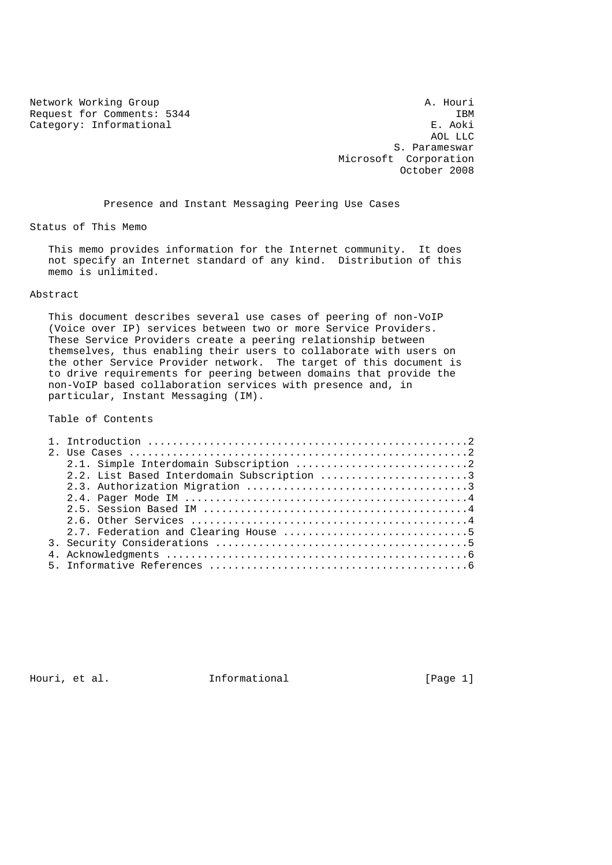Request for Comments: 5344 IBM

Network Working Group and the set of the Method A. Houri Category: Informational E. Aoki<br>
AOI LLC AOL LLC S. Parameswar Microsoft Corporation October 2008

### Presence and Instant Messaging Peering Use Cases

Status of This Memo

 This memo provides information for the Internet community. It does not specify an Internet standard of any kind. Distribution of this memo is unlimited.

## Abstract

 This document describes several use cases of peering of non-VoIP (Voice over IP) services between two or more Service Providers. These Service Providers create a peering relationship between themselves, thus enabling their users to collaborate with users on the other Service Provider network. The target of this document is to drive requirements for peering between domains that provide the non-VoIP based collaboration services with presence and, in particular, Instant Messaging (IM).

Table of Contents

| 2.2. List Based Interdomain Subscription 3 |
|--------------------------------------------|
|                                            |
|                                            |
|                                            |
|                                            |
|                                            |
|                                            |
|                                            |
|                                            |
|                                            |

Houri, et al. 100 mm informational 100 mm informational [Page 1]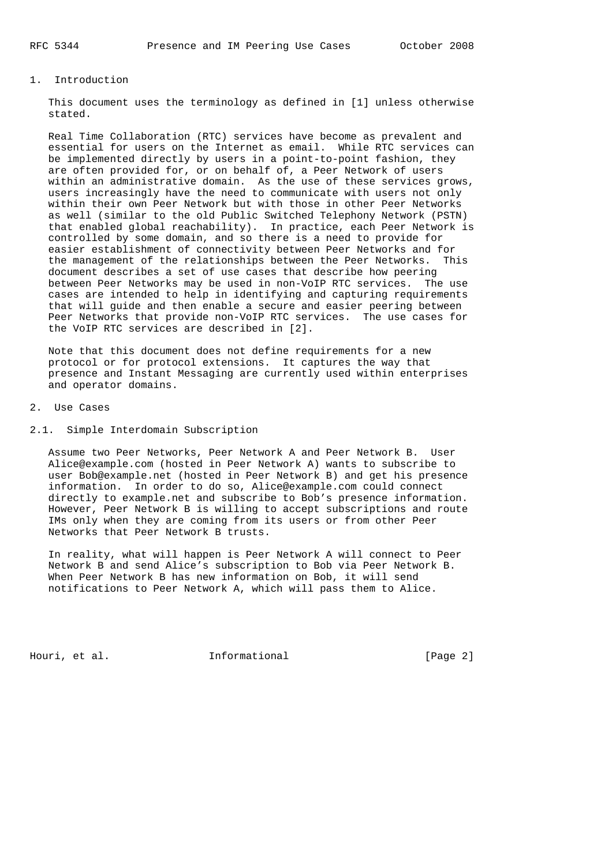## 1. Introduction

 This document uses the terminology as defined in [1] unless otherwise stated.

 Real Time Collaboration (RTC) services have become as prevalent and essential for users on the Internet as email. While RTC services can be implemented directly by users in a point-to-point fashion, they are often provided for, or on behalf of, a Peer Network of users within an administrative domain. As the use of these services grows, users increasingly have the need to communicate with users not only within their own Peer Network but with those in other Peer Networks as well (similar to the old Public Switched Telephony Network (PSTN) that enabled global reachability). In practice, each Peer Network is controlled by some domain, and so there is a need to provide for easier establishment of connectivity between Peer Networks and for the management of the relationships between the Peer Networks. This document describes a set of use cases that describe how peering between Peer Networks may be used in non-VoIP RTC services. The use cases are intended to help in identifying and capturing requirements that will guide and then enable a secure and easier peering between Peer Networks that provide non-VoIP RTC services. The use cases for the VoIP RTC services are described in [2].

 Note that this document does not define requirements for a new protocol or for protocol extensions. It captures the way that presence and Instant Messaging are currently used within enterprises and operator domains.

## 2. Use Cases

## 2.1. Simple Interdomain Subscription

 Assume two Peer Networks, Peer Network A and Peer Network B. User Alice@example.com (hosted in Peer Network A) wants to subscribe to user Bob@example.net (hosted in Peer Network B) and get his presence information. In order to do so, Alice@example.com could connect directly to example.net and subscribe to Bob's presence information. However, Peer Network B is willing to accept subscriptions and route IMs only when they are coming from its users or from other Peer Networks that Peer Network B trusts.

 In reality, what will happen is Peer Network A will connect to Peer Network B and send Alice's subscription to Bob via Peer Network B. When Peer Network B has new information on Bob, it will send notifications to Peer Network A, which will pass them to Alice.

Houri, et al. 1nformational 1999 [Page 2]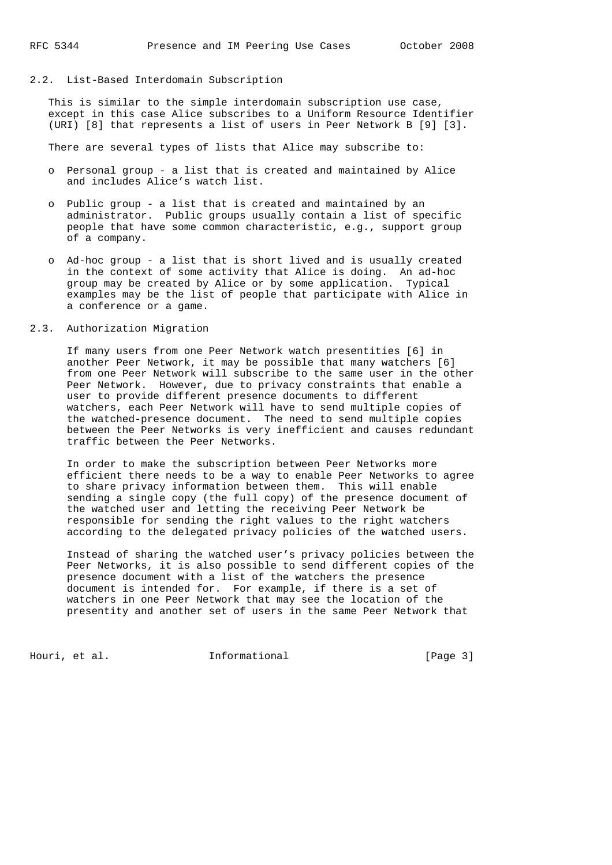### 2.2. List-Based Interdomain Subscription

 This is similar to the simple interdomain subscription use case, except in this case Alice subscribes to a Uniform Resource Identifier (URI) [8] that represents a list of users in Peer Network B [9] [3].

There are several types of lists that Alice may subscribe to:

- o Personal group a list that is created and maintained by Alice and includes Alice's watch list.
- o Public group a list that is created and maintained by an administrator. Public groups usually contain a list of specific people that have some common characteristic, e.g., support group of a company.
- o Ad-hoc group a list that is short lived and is usually created in the context of some activity that Alice is doing. An ad-hoc group may be created by Alice or by some application. Typical examples may be the list of people that participate with Alice in a conference or a game.

## 2.3. Authorization Migration

 If many users from one Peer Network watch presentities [6] in another Peer Network, it may be possible that many watchers [6] from one Peer Network will subscribe to the same user in the other Peer Network. However, due to privacy constraints that enable a user to provide different presence documents to different watchers, each Peer Network will have to send multiple copies of the watched-presence document. The need to send multiple copies between the Peer Networks is very inefficient and causes redundant traffic between the Peer Networks.

 In order to make the subscription between Peer Networks more efficient there needs to be a way to enable Peer Networks to agree to share privacy information between them. This will enable sending a single copy (the full copy) of the presence document of the watched user and letting the receiving Peer Network be responsible for sending the right values to the right watchers according to the delegated privacy policies of the watched users.

 Instead of sharing the watched user's privacy policies between the Peer Networks, it is also possible to send different copies of the presence document with a list of the watchers the presence document is intended for. For example, if there is a set of watchers in one Peer Network that may see the location of the presentity and another set of users in the same Peer Network that

Houri, et al. 1nformational 1999 [Page 3]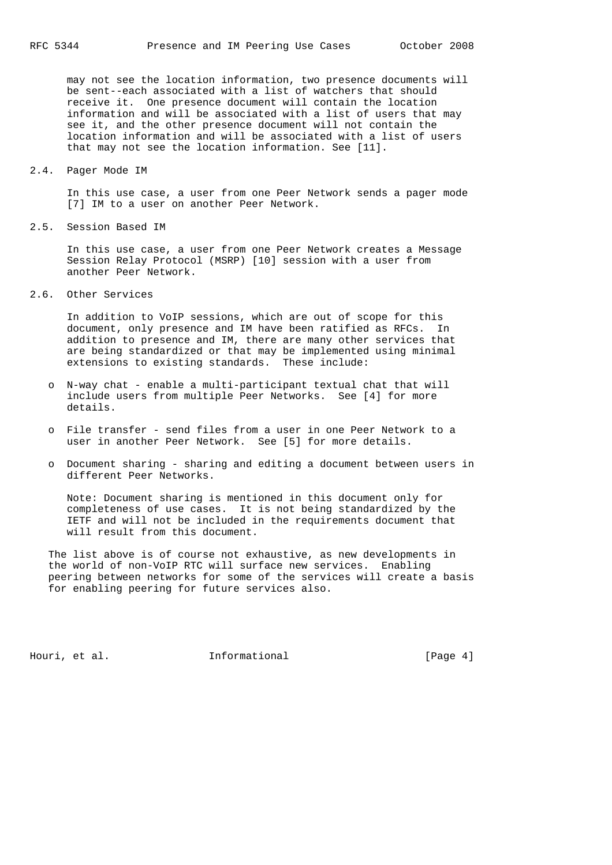may not see the location information, two presence documents will be sent--each associated with a list of watchers that should receive it. One presence document will contain the location information and will be associated with a list of users that may see it, and the other presence document will not contain the location information and will be associated with a list of users that may not see the location information. See [11].

2.4. Pager Mode IM

 In this use case, a user from one Peer Network sends a pager mode [7] IM to a user on another Peer Network.

2.5. Session Based IM

 In this use case, a user from one Peer Network creates a Message Session Relay Protocol (MSRP) [10] session with a user from another Peer Network.

2.6. Other Services

 In addition to VoIP sessions, which are out of scope for this document, only presence and IM have been ratified as RFCs. In addition to presence and IM, there are many other services that are being standardized or that may be implemented using minimal extensions to existing standards. These include:

- o N-way chat enable a multi-participant textual chat that will include users from multiple Peer Networks. See [4] for more details.
- o File transfer send files from a user in one Peer Network to a user in another Peer Network. See [5] for more details.
- o Document sharing sharing and editing a document between users in different Peer Networks.

 Note: Document sharing is mentioned in this document only for completeness of use cases. It is not being standardized by the IETF and will not be included in the requirements document that will result from this document.

 The list above is of course not exhaustive, as new developments in the world of non-VoIP RTC will surface new services. Enabling peering between networks for some of the services will create a basis for enabling peering for future services also.

Houri, et al. 1nformational 1999 [Page 4]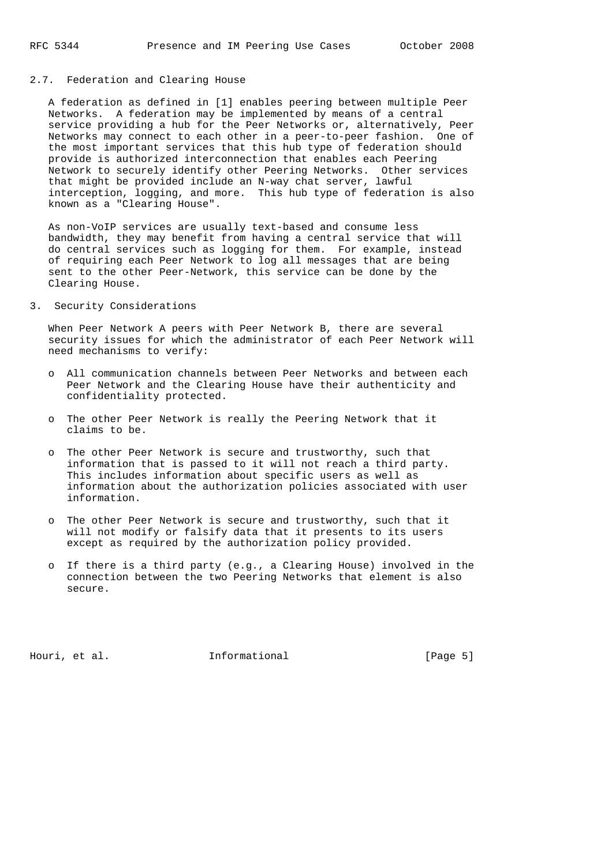# 2.7. Federation and Clearing House

 A federation as defined in [1] enables peering between multiple Peer Networks. A federation may be implemented by means of a central service providing a hub for the Peer Networks or, alternatively, Peer Networks may connect to each other in a peer-to-peer fashion. One of the most important services that this hub type of federation should provide is authorized interconnection that enables each Peering Network to securely identify other Peering Networks. Other services that might be provided include an N-way chat server, lawful interception, logging, and more. This hub type of federation is also known as a "Clearing House".

 As non-VoIP services are usually text-based and consume less bandwidth, they may benefit from having a central service that will do central services such as logging for them. For example, instead of requiring each Peer Network to log all messages that are being sent to the other Peer-Network, this service can be done by the Clearing House.

#### 3. Security Considerations

 When Peer Network A peers with Peer Network B, there are several security issues for which the administrator of each Peer Network will need mechanisms to verify:

- o All communication channels between Peer Networks and between each Peer Network and the Clearing House have their authenticity and confidentiality protected.
- o The other Peer Network is really the Peering Network that it claims to be.
- o The other Peer Network is secure and trustworthy, such that information that is passed to it will not reach a third party. This includes information about specific users as well as information about the authorization policies associated with user information.
- o The other Peer Network is secure and trustworthy, such that it will not modify or falsify data that it presents to its users except as required by the authorization policy provided.
- o If there is a third party (e.g., a Clearing House) involved in the connection between the two Peering Networks that element is also secure.

Houri, et al. 100 mm informational 100 mm informational [Page 5]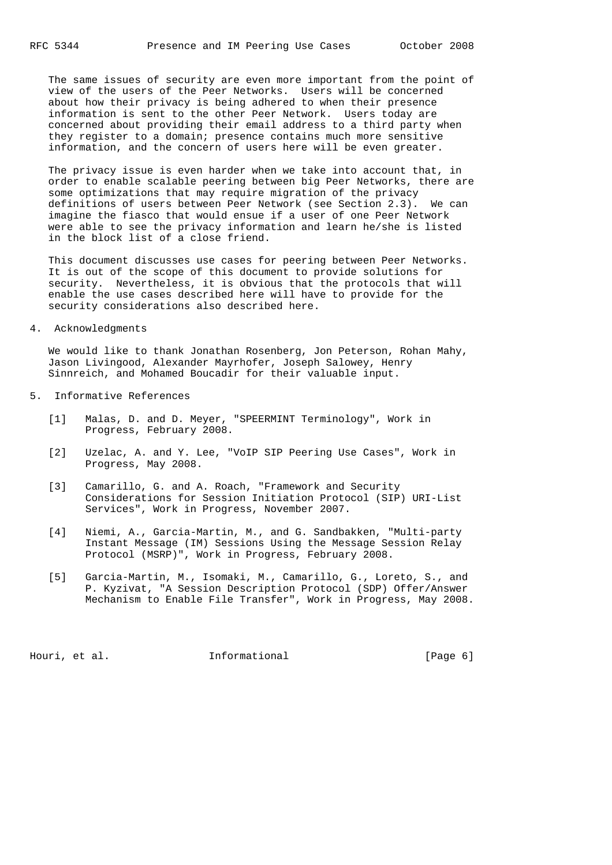The same issues of security are even more important from the point of view of the users of the Peer Networks. Users will be concerned about how their privacy is being adhered to when their presence information is sent to the other Peer Network. Users today are concerned about providing their email address to a third party when they register to a domain; presence contains much more sensitive information, and the concern of users here will be even greater.

 The privacy issue is even harder when we take into account that, in order to enable scalable peering between big Peer Networks, there are some optimizations that may require migration of the privacy definitions of users between Peer Network (see Section 2.3). We can imagine the fiasco that would ensue if a user of one Peer Network were able to see the privacy information and learn he/she is listed in the block list of a close friend.

 This document discusses use cases for peering between Peer Networks. It is out of the scope of this document to provide solutions for security. Nevertheless, it is obvious that the protocols that will enable the use cases described here will have to provide for the security considerations also described here.

## 4. Acknowledgments

 We would like to thank Jonathan Rosenberg, Jon Peterson, Rohan Mahy, Jason Livingood, Alexander Mayrhofer, Joseph Salowey, Henry Sinnreich, and Mohamed Boucadir for their valuable input.

- 5. Informative References
	- [1] Malas, D. and D. Meyer, "SPEERMINT Terminology", Work in Progress, February 2008.
	- [2] Uzelac, A. and Y. Lee, "VoIP SIP Peering Use Cases", Work in Progress, May 2008.
	- [3] Camarillo, G. and A. Roach, "Framework and Security Considerations for Session Initiation Protocol (SIP) URI-List Services", Work in Progress, November 2007.
	- [4] Niemi, A., Garcia-Martin, M., and G. Sandbakken, "Multi-party Instant Message (IM) Sessions Using the Message Session Relay Protocol (MSRP)", Work in Progress, February 2008.
	- [5] Garcia-Martin, M., Isomaki, M., Camarillo, G., Loreto, S., and P. Kyzivat, "A Session Description Protocol (SDP) Offer/Answer Mechanism to Enable File Transfer", Work in Progress, May 2008.

Houri, et al. 1nformational 1999 [Page 6]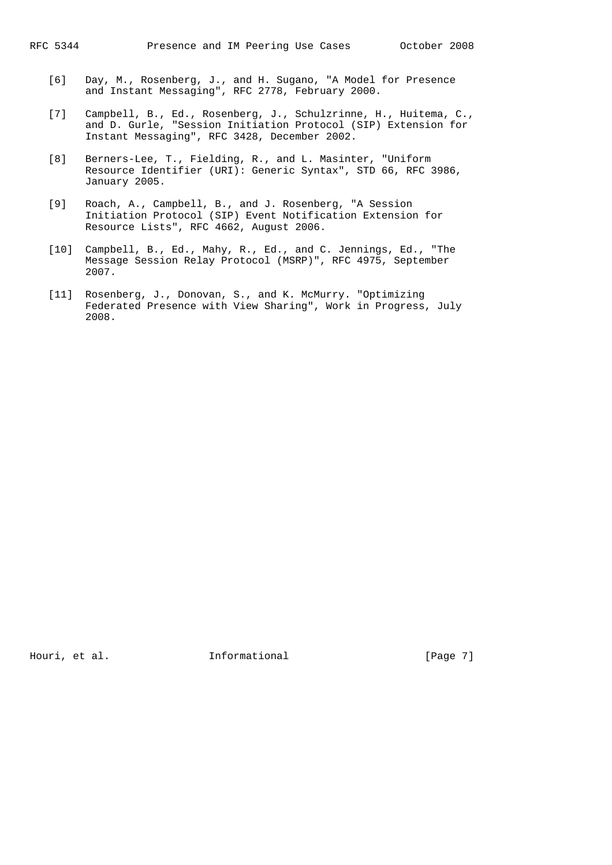- [6] Day, M., Rosenberg, J., and H. Sugano, "A Model for Presence and Instant Messaging", RFC 2778, February 2000.
- [7] Campbell, B., Ed., Rosenberg, J., Schulzrinne, H., Huitema, C., and D. Gurle, "Session Initiation Protocol (SIP) Extension for Instant Messaging", RFC 3428, December 2002.
- [8] Berners-Lee, T., Fielding, R., and L. Masinter, "Uniform Resource Identifier (URI): Generic Syntax", STD 66, RFC 3986, January 2005.
- [9] Roach, A., Campbell, B., and J. Rosenberg, "A Session Initiation Protocol (SIP) Event Notification Extension for Resource Lists", RFC 4662, August 2006.
- [10] Campbell, B., Ed., Mahy, R., Ed., and C. Jennings, Ed., "The Message Session Relay Protocol (MSRP)", RFC 4975, September 2007.
- [11] Rosenberg, J., Donovan, S., and K. McMurry. "Optimizing Federated Presence with View Sharing", Work in Progress, July 2008.

Houri, et al. **Informational** [Page 7]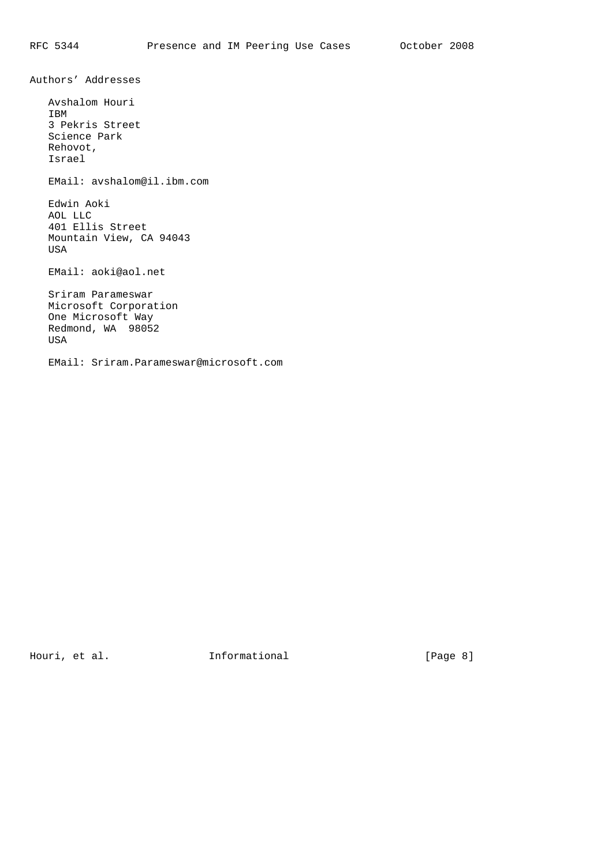Authors' Addresses Avshalom Houri IBM 3 Pekris Street Science Park Rehovot, Israel EMail: avshalom@il.ibm.com Edwin Aoki AOL LLC 401 Ellis Street Mountain View, CA 94043 USA EMail: aoki@aol.net Sriram Parameswar Microsoft Corporation One Microsoft Way Redmond, WA 98052 USA

EMail: Sriram.Parameswar@microsoft.com

Houri, et al. 1000 Informational 1000 [Page 8]